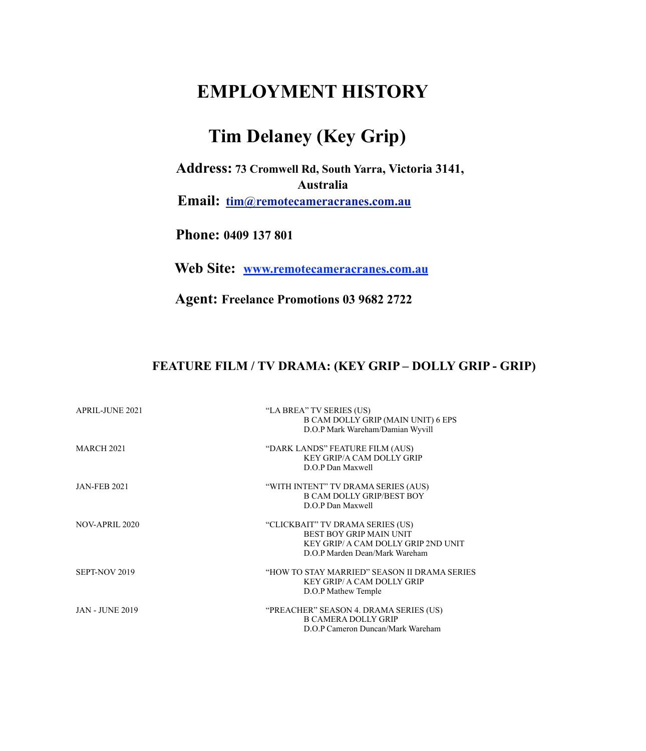## **EMPLOYMENT HISTORY**

## **Tim Delaney (Key Grip)**

 **Address: 73 Cromwell Rd, South Yarra, Victoria 3141, Australia** 

**Email: [tim@remotecameracranes.com.au](mailto:tim@remotecameracranes.com.au)**

 **Phone: 0409 137 801**

**Web Site: www.remotecameracranes.com.au**

**Agent: Freelance Promotions 03 9682 2722** 

## **FEATURE FILM / TV DRAMA: (KEY GRIP – DOLLY GRIP - GRIP)**

| <b>APRIL-JUNE 2021</b> | "LA BREA" TV SERIES (US)<br><b>B CAM DOLLY GRIP (MAIN UNIT) 6 EPS</b><br>D.O.P Mark Wareham/Damian Wyvill                                   |
|------------------------|---------------------------------------------------------------------------------------------------------------------------------------------|
| <b>MARCH 2021</b>      | "DARK LANDS" FEATURE FILM (AUS)<br><b>KEY GRIP/A CAM DOLLY GRIP</b><br>D.O.P Dan Maxwell                                                    |
| <b>JAN-FEB 2021</b>    | "WITH INTENT" TV DRAMA SERIES (AUS)<br><b>B CAM DOLLY GRIP/BEST BOY</b><br>D.O.P Dan Maxwell                                                |
| NOV-APRIL 2020         | "CLICKBAIT" TV DRAMA SERIES (US)<br><b>BEST BOY GRIP MAIN UNIT</b><br>KEY GRIP/ A CAM DOLLY GRIP 2ND UNIT<br>D.O.P Marden Dean/Mark Wareham |
| SEPT-NOV 2019          | "HOW TO STAY MARRIED" SEASON II DRAMA SERIES<br><b>KEY GRIP/ A CAM DOLLY GRIP</b><br>D.O.P Mathew Temple                                    |
| <b>JAN - JUNE 2019</b> | "PREACHER" SEASON 4. DRAMA SERIES (US)<br><b>B CAMERA DOLLY GRIP</b><br>D.O.P Cameron Duncan/Mark Wareham                                   |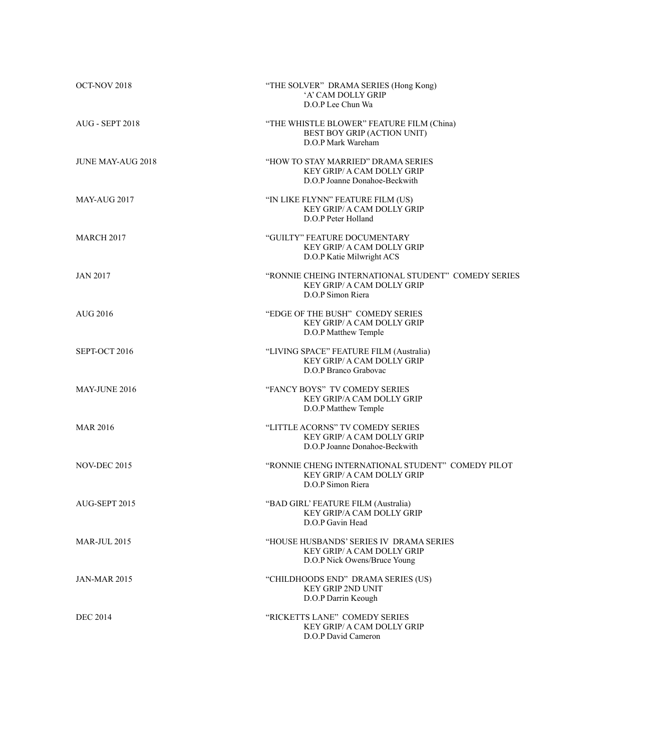| OCT-NOV 2018             | "THE SOLVER" DRAMA SERIES (Hong Kong)<br>'A' CAM DOLLY GRIP<br>D.O.P Lee Chun Wa                              |
|--------------------------|---------------------------------------------------------------------------------------------------------------|
| <b>AUG - SEPT 2018</b>   | "THE WHISTLE BLOWER" FEATURE FILM (China)<br>BEST BOY GRIP (ACTION UNIT)<br>D.O.P Mark Wareham                |
| <b>JUNE MAY-AUG 2018</b> | "HOW TO STAY MARRIED" DRAMA SERIES<br><b>KEY GRIP/ A CAM DOLLY GRIP</b><br>D.O.P Joanne Donahoe-Beckwith      |
| <b>MAY-AUG 2017</b>      | "IN LIKE FLYNN" FEATURE FILM (US)<br>KEY GRIP/ A CAM DOLLY GRIP<br>D.O.P Peter Holland                        |
| <b>MARCH 2017</b>        | "GUILTY" FEATURE DOCUMENTARY<br>KEY GRIP/ A CAM DOLLY GRIP<br>D.O.P Katie Milwright ACS                       |
| <b>JAN 2017</b>          | "RONNIE CHEING INTERNATIONAL STUDENT" COMEDY SERIES<br><b>KEY GRIP/ A CAM DOLLY GRIP</b><br>D.O.P Simon Riera |
| <b>AUG 2016</b>          | "EDGE OF THE BUSH" COMEDY SERIES<br><b>KEY GRIP/ A CAM DOLLY GRIP</b><br>D.O.P Matthew Temple                 |
| SEPT-OCT 2016            | "LIVING SPACE" FEATURE FILM (Australia)<br>KEY GRIP/ A CAM DOLLY GRIP<br>D.O.P Branco Grabovac                |
| MAY-JUNE 2016            | "FANCY BOYS" TV COMEDY SERIES<br>KEY GRIP/A CAM DOLLY GRIP<br>D.O.P Matthew Temple                            |
| <b>MAR 2016</b>          | "LITTLE ACORNS" TV COMEDY SERIES<br><b>KEY GRIP/ A CAM DOLLY GRIP</b><br>D.O.P Joanne Donahoe-Beckwith        |
| <b>NOV-DEC 2015</b>      | "RONNIE CHENG INTERNATIONAL STUDENT" COMEDY PILOT<br><b>KEY GRIP/ A CAM DOLLY GRIP</b><br>D.O.P Simon Riera   |
| AUG-SEPT 2015            | "BAD GIRL' FEATURE FILM (Australia)<br>KEY GRIP/A CAM DOLLY GRIP<br>D.O.P Gavin Head                          |
| <b>MAR-JUL 2015</b>      | "HOUSE HUSBANDS' SERIES IV DRAMA SERIES<br>KEY GRIP/ A CAM DOLLY GRIP<br>D.O.P Nick Owens/Bruce Young         |
| <b>JAN-MAR 2015</b>      | "CHILDHOODS END" DRAMA SERIES (US)<br><b>KEY GRIP 2ND UNIT</b><br>D.O.P Darrin Keough                         |
| <b>DEC 2014</b>          | "RICKETTS LANE" COMEDY SERIES<br>KEY GRIP/ A CAM DOLLY GRIP<br>D.O.P David Cameron                            |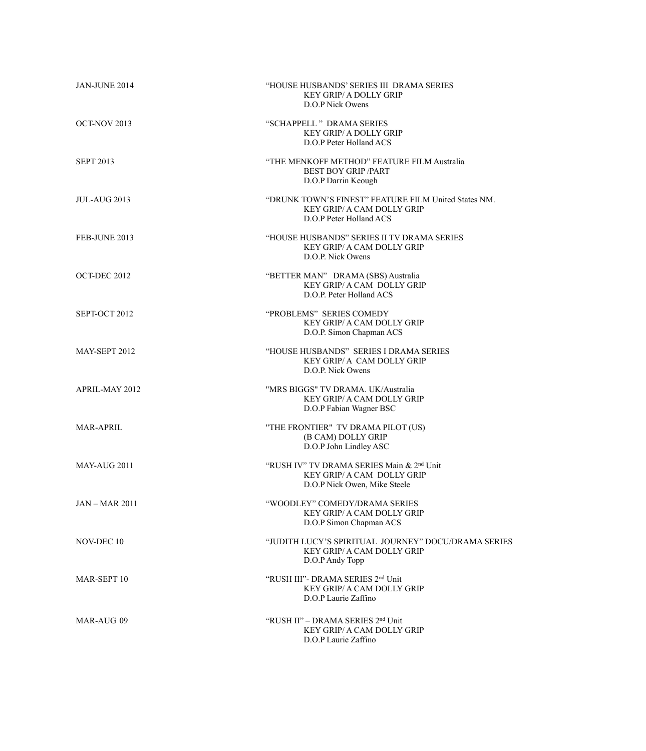| JAN-JUNE 2014       | "HOUSE HUSBANDS' SERIES III DRAMA SERIES<br><b>KEY GRIP/ A DOLLY GRIP</b><br>D.O.P Nick Owens                              |
|---------------------|----------------------------------------------------------------------------------------------------------------------------|
| OCT-NOV 2013        | "SCHAPPELL " DRAMA SERIES<br><b>KEY GRIP/ A DOLLY GRIP</b><br>D.O.P Peter Holland ACS                                      |
| <b>SEPT 2013</b>    | "THE MENKOFF METHOD" FEATURE FILM Australia<br><b>BEST BOY GRIP /PART</b><br>D.O.P Darrin Keough                           |
| <b>JUL-AUG 2013</b> | "DRUNK TOWN'S FINEST" FEATURE FILM United States NM.<br><b>KEY GRIP/ A CAM DOLLY GRIP</b><br>D.O.P Peter Holland ACS       |
| FEB-JUNE 2013       | "HOUSE HUSBANDS" SERIES II TV DRAMA SERIES<br><b>KEY GRIP/ A CAM DOLLY GRIP</b><br>D.O.P. Nick Owens                       |
| OCT-DEC 2012        | "BETTER MAN" DRAMA (SBS) Australia<br><b>KEY GRIP/ A CAM DOLLY GRIP</b><br>D.O.P. Peter Holland ACS                        |
| SEPT-OCT 2012       | "PROBLEMS" SERIES COMEDY<br><b>KEY GRIP/ A CAM DOLLY GRIP</b><br>D.O.P. Simon Chapman ACS                                  |
| MAY-SEPT 2012       | "HOUSE HUSBANDS" SERIES I DRAMA SERIES<br><b>KEY GRIP/ A CAM DOLLY GRIP</b><br>D.O.P. Nick Owens                           |
| APRIL-MAY 2012      | "MRS BIGGS" TV DRAMA. UK/Australia<br>KEY GRIP/ A CAM DOLLY GRIP<br>D.O.P Fabian Wagner BSC                                |
| <b>MAR-APRIL</b>    | "THE FRONTIER" TV DRAMA PILOT (US)<br>(B CAM) DOLLY GRIP<br>D.O.P John Lindley ASC                                         |
| MAY-AUG 2011        | "RUSH IV" TV DRAMA SERIES Main & 2 <sup>nd</sup> Unit<br><b>KEY GRIP/ A CAM DOLLY GRIP</b><br>D.O.P Nick Owen, Mike Steele |
| <b>JAN-MAR 2011</b> | "WOODLEY" COMEDY/DRAMA SERIES<br>KEY GRIP/ A CAM DOLLY GRIP<br>D.O.P Simon Chapman ACS                                     |
| NOV-DEC 10          | "JUDITH LUCY'S SPIRITUAL  JOURNEY" DOCU/DRAMA SERIES<br>KEY GRIP/ A CAM DOLLY GRIP<br>D.O.P Andy Topp                      |
| MAR-SEPT 10         | "RUSH III"- DRAMA SERIES 2 <sup>nd</sup> Unit<br>KEY GRIP/ A CAM DOLLY GRIP<br>D.O.P Laurie Zaffino                        |
| MAR-AUG 09          | "RUSH II" - DRAMA SERIES 2 <sup>nd</sup> Unit<br>KEY GRIP/ A CAM DOLLY GRIP<br>D.O.P Laurie Zaffino                        |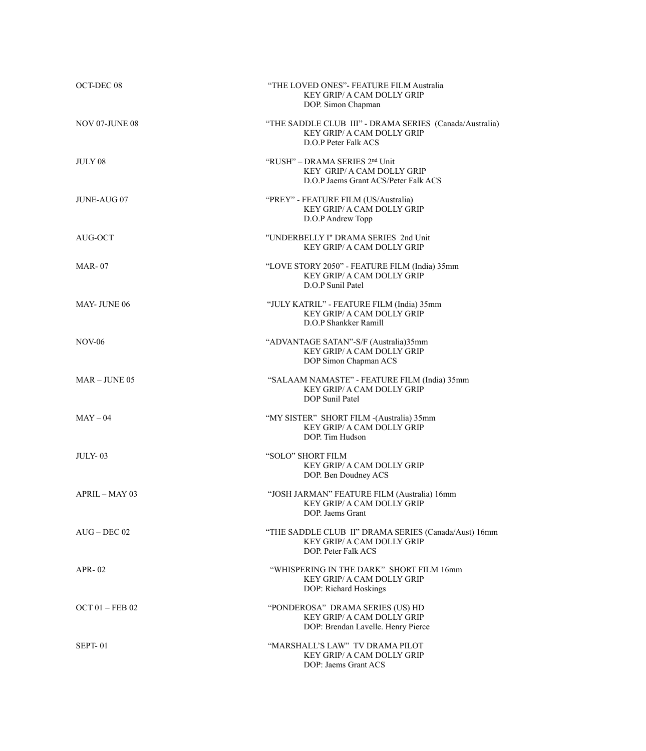| OCT-DEC 08            | "THE LOVED ONES"- FEATURE FILM Australia<br><b>KEY GRIP/ A CAM DOLLY GRIP</b><br>DOP. Simon Chapman                  |
|-----------------------|----------------------------------------------------------------------------------------------------------------------|
| <b>NOV 07-JUNE 08</b> | "THE SADDLE CLUB III" - DRAMA SERIES (Canada/Australia)<br><b>KEY GRIP/ A CAM DOLLY GRIP</b><br>D.O.P Peter Falk ACS |
| JULY 08               | "RUSH" – DRAMA SERIES 2 <sup>nd</sup> Unit<br>KEY GRIP/ A CAM DOLLY GRIP<br>D.O.P Jaems Grant ACS/Peter Falk ACS     |
| <b>JUNE-AUG 07</b>    | "PREY" - FEATURE FILM (US/Australia)<br>KEY GRIP/ A CAM DOLLY GRIP<br>D.O.P Andrew Topp                              |
| AUG-OCT               | "UNDERBELLY I" DRAMA SERIES 2nd Unit<br>KEY GRIP/ A CAM DOLLY GRIP                                                   |
| <b>MAR-07</b>         | "LOVE STORY 2050" - FEATURE FILM (India) 35mm<br><b>KEY GRIP/ A CAM DOLLY GRIP</b><br>D.O.P Sunil Patel              |
| MAY-JUNE 06           | "JULY KATRIL" - FEATURE FILM (India) 35mm<br>KEY GRIP/ A CAM DOLLY GRIP<br>D.O.P Shankker Ramill                     |
| <b>NOV-06</b>         | "ADVANTAGE SATAN"-S/F (Australia)35mm<br>KEY GRIP/ A CAM DOLLY GRIP<br>DOP Simon Chapman ACS                         |
| $MAR$ – JUNE 05       | "SALAAM NAMASTE" - FEATURE FILM (India) 35mm<br><b>KEY GRIP/ A CAM DOLLY GRIP</b><br>DOP Sunil Patel                 |
| $MAY - 04$            | "MY SISTER" SHORT FILM - (Australia) 35mm<br>KEY GRIP/ A CAM DOLLY GRIP<br>DOP. Tim Hudson                           |
| <b>JULY-03</b>        | "SOLO" SHORT FILM<br>KEY GRIP/ A CAM DOLLY GRIP<br>DOP. Ben Doudney ACS                                              |
| APRIL - MAY 03        | "JOSH JARMAN" FEATURE FILM (Australia) 16mm<br>KEY GRIP/ A CAM DOLLY GRIP<br>DOP. Jaems Grant                        |
| $AUG - DEC 02$        | "THE SADDLE CLUB II" DRAMA SERIES (Canada/Aust) 16mm<br><b>KEY GRIP/ A CAM DOLLY GRIP</b><br>DOP. Peter Falk ACS     |
| $APR - 02$            | "WHISPERING IN THE DARK" SHORT FILM 16mm<br>KEY GRIP/ A CAM DOLLY GRIP<br>DOP: Richard Hoskings                      |
| OCT $01$ – FEB 02     | "PONDEROSA" DRAMA SERIES (US) HD<br>KEY GRIP/ A CAM DOLLY GRIP<br>DOP: Brendan Lavelle. Henry Pierce                 |
| SEPT-01               | "MARSHALL'S LAW" TV DRAMA PILOT<br><b>KEY GRIP/ A CAM DOLLY GRIP</b><br>DOP: Jaems Grant ACS                         |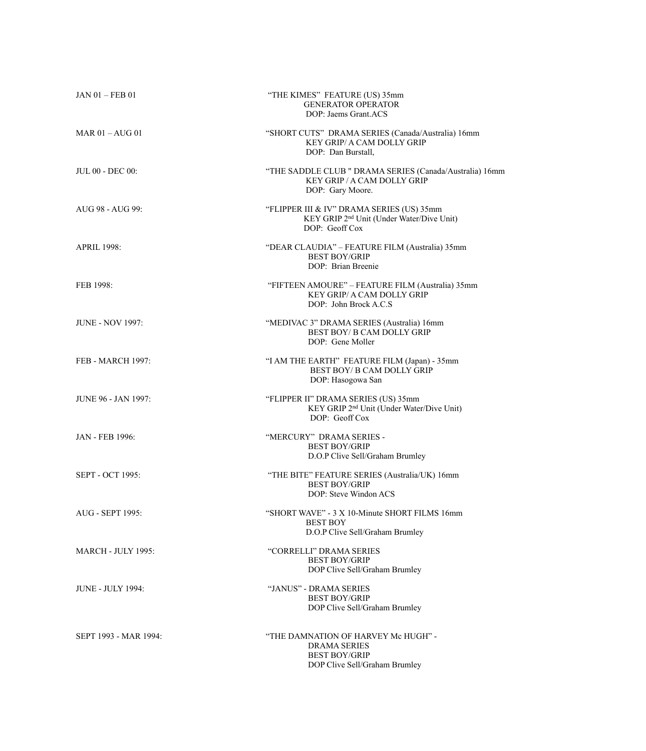| <b>JAN 01 - FEB 01</b>     | "THE KIMES" FEATURE (US) 35mm<br><b>GENERATOR OPERATOR</b><br>DOP: Jaems Grant.ACS                                   |
|----------------------------|----------------------------------------------------------------------------------------------------------------------|
| MAR $01 -$ AUG $01$        | "SHORT CUTS" DRAMA SERIES (Canada/Australia) 16mm<br>KEY GRIP/ A CAM DOLLY GRIP<br>DOP: Dan Burstall,                |
| JUL 00 - DEC 00:           | "THE SADDLE CLUB " DRAMA SERIES (Canada/Australia) 16mm<br>KEY GRIP / A CAM DOLLY GRIP<br>DOP: Gary Moore.           |
| AUG 98 - AUG 99:           | "FLIPPER III & IV" DRAMA SERIES (US) 35mm<br>KEY GRIP 2 <sup>nd</sup> Unit (Under Water/Dive Unit)<br>DOP: Geoff Cox |
| <b>APRIL 1998:</b>         | "DEAR CLAUDIA" – FEATURE FILM (Australia) 35mm<br><b>BEST BOY/GRIP</b><br>DOP: Brian Breenie                         |
| FEB 1998:                  | "FIFTEEN AMOURE" – FEATURE FILM (Australia) 35mm<br><b>KEY GRIP/ A CAM DOLLY GRIP</b><br>DOP: John Brock A.C.S       |
| <b>JUNE - NOV 1997:</b>    | "MEDIVAC 3" DRAMA SERIES (Australia) 16mm<br><b>BEST BOY/ B CAM DOLLY GRIP</b><br>DOP: Gene Moller                   |
| <b>FEB - MARCH 1997:</b>   | "I AM THE EARTH" FEATURE FILM (Japan) - 35mm<br><b>BEST BOY/ B CAM DOLLY GRIP</b><br>DOP: Hasogowa San               |
| <b>JUNE 96 - JAN 1997:</b> | "FLIPPER II" DRAMA SERIES (US) 35mm<br>KEY GRIP 2 <sup>nd</sup> Unit (Under Water/Dive Unit)<br>DOP: Geoff Cox       |
| <b>JAN - FEB 1996:</b>     | "MERCURY" DRAMA SERIES -<br><b>BEST BOY/GRIP</b><br>D.O.P Clive Sell/Graham Brumley                                  |
| <b>SEPT - OCT 1995:</b>    | "THE BITE" FEATURE SERIES (Australia/UK) 16mm<br><b>BEST BOY/GRIP</b><br>DOP: Steve Windon ACS                       |
| AUG - SEPT 1995:           | "SHORT WAVE" - 3 X 10-Minute SHORT FILMS 16mm<br><b>BEST BOY</b><br>D.O.P Clive Sell/Graham Brumley                  |
| <b>MARCH - JULY 1995:</b>  | "CORRELLI" DRAMA SERIES<br><b>BEST BOY/GRIP</b><br>DOP Clive Sell/Graham Brumley                                     |
| <b>JUNE - JULY 1994:</b>   | "JANUS" - DRAMA SERIES<br><b>BEST BOY/GRIP</b><br>DOP Clive Sell/Graham Brumley                                      |
| SEPT 1993 - MAR 1994:      | "THE DAMNATION OF HARVEY Mc HUGH" -<br><b>DRAMA SERIES</b><br><b>BEST BOY/GRIP</b><br>DOP Clive Sell/Graham Brumley  |